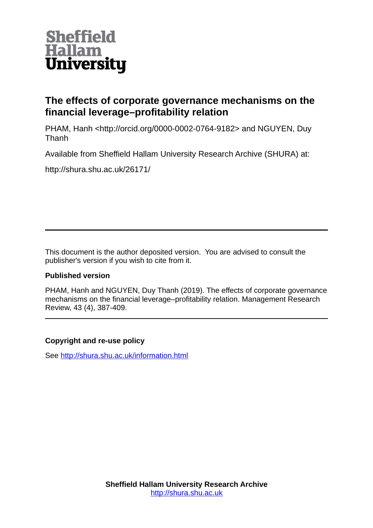

# **The effects of corporate governance mechanisms on the financial leverage–profitability relation**

PHAM, Hanh <http://orcid.org/0000-0002-0764-9182> and NGUYEN, Duy Thanh

Available from Sheffield Hallam University Research Archive (SHURA) at:

http://shura.shu.ac.uk/26171/

This document is the author deposited version. You are advised to consult the publisher's version if you wish to cite from it.

## **Published version**

PHAM, Hanh and NGUYEN, Duy Thanh (2019). The effects of corporate governance mechanisms on the financial leverage–profitability relation. Management Research Review, 43 (4), 387-409.

## **Copyright and re-use policy**

See<http://shura.shu.ac.uk/information.html>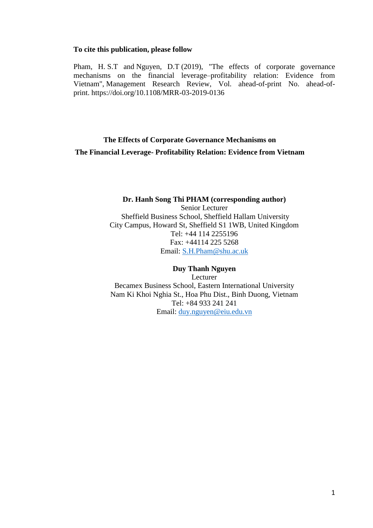#### **To cite this publication, please follow**

[Pham, H.](https://www.emerald.com/insight/search?q=Hanh%20Song%20Thi%20Pham) S.T and [Nguyen, D.T](https://www.emerald.com/insight/search?q=Duy%20Thanh%20Nguyen) (2019), "The effects of corporate governance mechanisms on the financial leverage–profitability relation: Evidence from Vietnam", [Management Research Review,](https://www.emerald.com/insight/publication/issn/2040-8269) Vol. ahead-of-print No. ahead-ofprint. <https://doi.org/10.1108/MRR-03-2019-0136>

## **The Effects of Corporate Governance Mechanisms on The Financial Leverage- Profitability Relation: Evidence from Vietnam**

## **Dr. Hanh Song Thi PHAM (corresponding author)**

Senior Lecturer Sheffield Business School, Sheffield Hallam University City Campus, Howard St, Sheffield S1 1WB, United Kingdom Tel: +44 114 2255196 Fax: +44114 225 5268 Email: [S.H.Pham@shu.ac.uk](mailto:S.H.Pham@shu.ac.uk)

## **Duy Thanh Nguyen**

Lecturer Becamex Business School, Eastern International University Nam Ki Khoi Nghia St., Hoa Phu Dist., Binh Duong, Vietnam Tel: +84 933 241 241 Email: [duy.nguyen@eiu.edu.vn](mailto:duy.nguyen@eiu.edu.vn)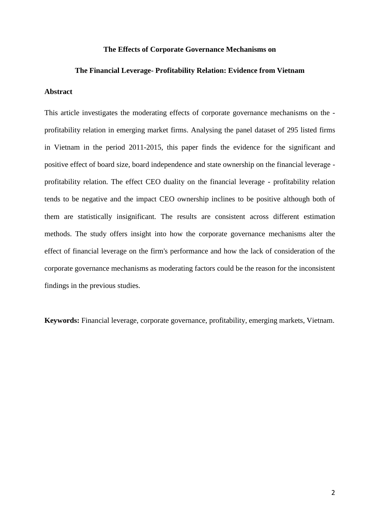#### **The Effects of Corporate Governance Mechanisms on**

#### **The Financial Leverage- Profitability Relation: Evidence from Vietnam**

#### **Abstract**

This article investigates the moderating effects of corporate governance mechanisms on the profitability relation in emerging market firms. Analysing the panel dataset of 295 listed firms in Vietnam in the period 2011-2015, this paper finds the evidence for the significant and positive effect of board size, board independence and state ownership on the financial leverage profitability relation. The effect CEO duality on the financial leverage - profitability relation tends to be negative and the impact CEO ownership inclines to be positive although both of them are statistically insignificant. The results are consistent across different estimation methods. The study offers insight into how the corporate governance mechanisms alter the effect of financial leverage on the firm's performance and how the lack of consideration of the corporate governance mechanisms as moderating factors could be the reason for the inconsistent findings in the previous studies.

**Keywords:** Financial leverage, corporate governance, profitability, emerging markets, Vietnam.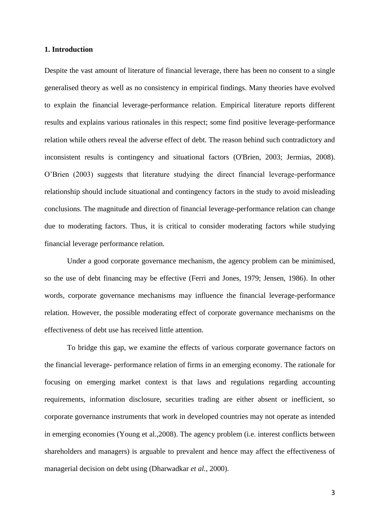## **1. Introduction**

Despite the vast amount of literature of financial leverage, there has been no consent to a single generalised theory as well as no consistency in empirical findings. Many theories have evolved to explain the financial leverage-performance relation. Empirical literature reports different results and explains various rationales in this respect; some find positive leverage-performance relation while others reveal the adverse effect of debt. The reason behind such contradictory and inconsistent results is contingency and situational factors (O'Brien, 2003; Jermias, 2008). O'Brien (2003) suggests that literature studying the direct financial leverage-performance relationship should include situational and contingency factors in the study to avoid misleading conclusions. The magnitude and direction of financial leverage-performance relation can change due to moderating factors. Thus, it is critical to consider moderating factors while studying financial leverage performance relation.

Under a good corporate governance mechanism, the agency problem can be minimised, so the use of debt financing may be effective (Ferri and Jones, 1979; Jensen, 1986). In other words, corporate governance mechanisms may influence the financial leverage-performance relation. However, the possible moderating effect of corporate governance mechanisms on the effectiveness of debt use has received little attention.

To bridge this gap, we examine the effects of various corporate governance factors on the financial leverage- performance relation of firms in an emerging economy. The rationale for focusing on emerging market context is that laws and regulations regarding accounting requirements, information disclosure, securities trading are either absent or inefficient, so corporate governance instruments that work in developed countries may not operate as intended in emerging economies (Young et al.,2008). The agency problem (i.e. interest conflicts between shareholders and managers) is arguable to prevalent and hence may affect the effectiveness of managerial decision on debt using (Dharwadkar *et al.*, 2000).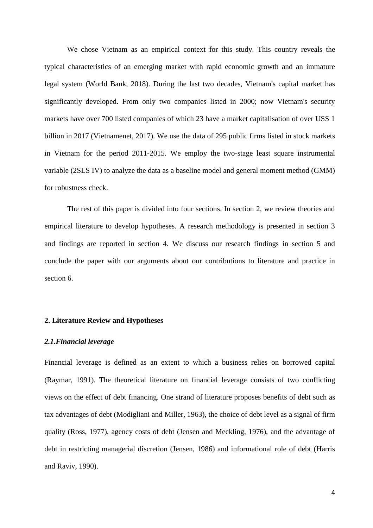We chose Vietnam as an empirical context for this study. This country reveals the typical characteristics of an emerging market with rapid economic growth and an immature legal system (World Bank, 2018). During the last two decades, Vietnam's capital market has significantly developed. From only two companies listed in 2000; now Vietnam's security markets have over 700 listed companies of which 23 have a market capitalisation of over USS 1 billion in 2017 (Vietnamenet, 2017). We use the data of 295 public firms listed in stock markets in Vietnam for the period 2011-2015. We employ the two-stage least square instrumental variable (2SLS IV) to analyze the data as a baseline model and general moment method (GMM) for robustness check.

The rest of this paper is divided into four sections. In section 2, we review theories and empirical literature to develop hypotheses. A research methodology is presented in section 3 and findings are reported in section 4. We discuss our research findings in section 5 and conclude the paper with our arguments about our contributions to literature and practice in section 6.

## **2. Literature Review and Hypotheses**

#### *2.1.Financial leverage*

Financial leverage is defined as an extent to which a business relies on borrowed capital (Raymar, 1991). The theoretical literature on financial leverage consists of two conflicting views on the effect of debt financing. One strand of literature proposes benefits of debt such as tax advantages of debt (Modigliani and Miller, 1963), the choice of debt level as a signal of firm quality (Ross, 1977), agency costs of debt (Jensen and Meckling, 1976), and the advantage of debt in restricting managerial discretion (Jensen, 1986) and informational role of debt (Harris and Raviv, 1990).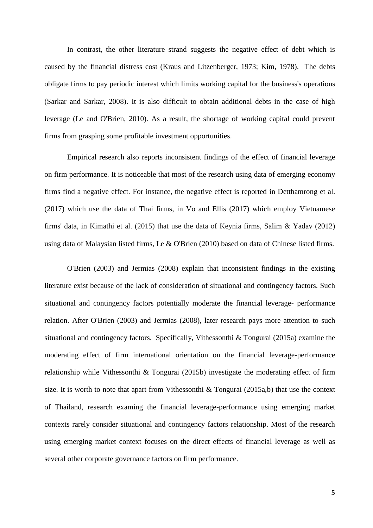In contrast, the other literature strand suggests the negative effect of debt which is caused by the financial distress cost (Kraus and Litzenberger, [1973;](https://link-springer-com.lcproxy.shu.ac.uk/article/10.1007/s11187-007-9088-4#CR30) Kim, [1978\)](https://link-springer-com.lcproxy.shu.ac.uk/article/10.1007/s11187-007-9088-4#CR29). The debts obligate firms to pay periodic interest which limits working capital for the business's operations (Sarkar and Sarkar, 2008). It is also difficult to obtain additional debts in the case of high leverage (Le and O'Brien, 2010). As a result, the shortage of working capital could prevent firms from grasping some profitable investment opportunities.

Empirical research also reports inconsistent findings of the effect of financial leverage on firm performance. It is noticeable that most of the research using data of emerging economy firms find a negative effect. For instance, the negative effect is reported in Detthamrong et al. (2017) which use the data of Thai firms, in Vo and Ellis (2017) which employ Vietnamese firms' data, in Kimathi et al. (2015) that use the data of Keynia firms, Salim & Yadav (2012) using data of Malaysian listed firms, Le & O'Brien (2010) based on data of Chinese listed firms.

O'Brien (2003) and Jermias (2008) explain that inconsistent findings in the existing literature exist because of the lack of consideration of situational and contingency factors. Such situational and contingency factors potentially moderate the financial leverage- performance relation. After O'Brien (2003) and Jermias (2008), later research pays more attention to such situational and contingency factors. Specifically, Vithessonthi & Tongurai (2015a) examine the moderating effect of firm international orientation on the financial leverage-performance relationship while Vithessonthi & Tongurai (2015b) investigate the moderating effect of firm size. It is worth to note that apart from Vithessonthi & Tongurai (2015a,b) that use the context of Thailand, research examing the financial leverage-performance using emerging market contexts rarely consider situational and contingency factors relationship. Most of the research using emerging market context focuses on the direct effects of financial leverage as well as several other corporate governance factors on firm performance.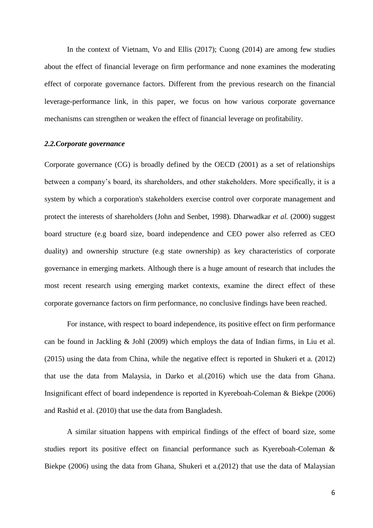In the context of Vietnam, Vo and Ellis (2017); Cuong (2014) are among few studies about the effect of financial leverage on firm performance and none examines the moderating effect of corporate governance factors. Different from the previous research on the financial leverage-performance link, in this paper, we focus on how various corporate governance mechanisms can strengthen or weaken the effect of financial leverage on profitability.

## *2.2.Corporate governance*

Corporate governance (CG) is broadly defined by the OECD (2001) as a set of relationships between a company's board, its shareholders, and other stakeholders. More specifically, it is a system by which a corporation's stakeholders exercise control over corporate management and protect the interests of shareholders (John and Senbet, 1998). Dharwadkar *et al.* (2000) suggest board structure (e.g board size, board independence and CEO power also referred as CEO duality) and ownership structure (e.g state ownership) as key characteristics of corporate governance in emerging markets. Although there is a huge amount of research that includes the most recent research using emerging market contexts, examine the direct effect of these corporate governance factors on firm performance, no conclusive findings have been reached.

For instance, with respect to board independence, its positive effect on firm performance can be found in Jackling & Johl (2009) which employs the data of Indian firms, in Liu et al. (2015) using the data from China, while the negative effect is reported in Shukeri et a. (2012) that use the data from Malaysia, in Darko et al.(2016) which use the data from Ghana. Insignificant effect of board independence is reported in Kyereboah-Coleman & Biekpe (2006) and Rashid et al. (2010) that use the data from Bangladesh.

A similar situation happens with empirical findings of the effect of board size, some studies report its positive effect on financial performance such as Kyereboah-Coleman & Biekpe (2006) using the data from Ghana, Shukeri et a.(2012) that use the data of Malaysian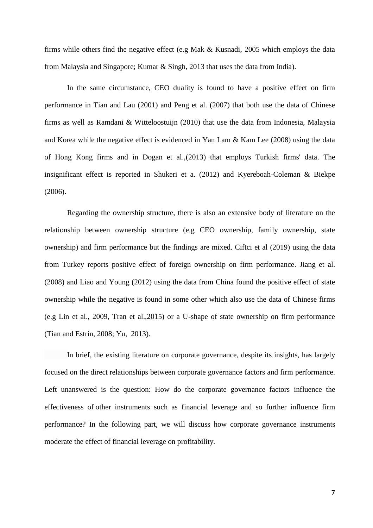firms while others find the negative effect (e.g Mak & Kusnadi, 2005 which employs the data from Malaysia and Singapore; Kumar & Singh, 2013 that uses the data from India).

In the same circumstance, CEO duality is found to have a positive effect on firm performance in Tian and Lau [\(2001\)](https://link-springer-com.hallam.idm.oclc.org/article/10.1007/s10490-009-9161-4#CR23) and Peng et al. [\(2007\)](https://link-springer-com.hallam.idm.oclc.org/article/10.1007/s10490-009-9161-4#CR18) that both use the data of Chinese firms as well as Ramdani & Witteloostuijn (2010) that use the data from Indonesia, Malaysia and Korea while the negative effect is evidenced in Yan Lam & Kam Lee (2008) using the data of Hong Kong firms and in Dogan et al.,(2013) that employs Turkish firms' data. The insignificant effect is reported in Shukeri et a. (2012) and Kyereboah-Coleman & Biekpe (2006).

Regarding the ownership structure, there is also an extensive body of literature on the relationship between ownership structure (e.g CEO ownership, family ownership, state ownership) and firm performance but the findings are mixed. Ciftci et al (2019) using the data from Turkey reports positive effect of foreign ownership on firm performance. Jiang et al. (2008) and Liao and Young (2012) using the data from China found the positive effect of state ownership while the negative is found in some other which also use the data of Chinese firms (e.g Lin et al., 2009, Tran et al.,2015) or a U-shape of state ownership on firm performance (Tian and Estrin, 2008; Yu, 2013).

In brief, the existing literature on corporate governance, despite its insights, has largely focused on the direct relationships between corporate governance factors and firm performance. Left unanswered is the question: How do the corporate governance factors influence the effectiveness of other instruments such as financial leverage and so further influence firm performance? In the following part, we will discuss how corporate governance instruments moderate the effect of financial leverage on profitability.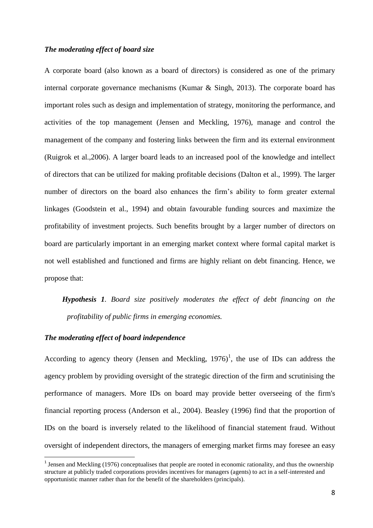## *The moderating effect of board size*

A corporate board (also known as a board of directors) is considered as one of the primary internal corporate governance mechanisms (Kumar & Singh, 2013). The corporate board has important roles such as design and implementation of strategy, monitoring the performance, and activities of the top management (Jensen and Meckling, 1976), manage and control the management of the company and fostering links between the firm and its external environment (Ruigrok et al.,2006). A larger board leads to an increased pool of the knowledge and intellect of directors that can be utilized for making profitable decisions (Dalton et al., 1999). The larger number of directors on the board also enhances the firm's ability to form greater external linkages (Goodstein et al., 1994) and obtain favourable funding sources and maximize the profitability of investment projects. Such benefits brought by a larger number of directors on board are particularly important in an emerging market context where formal capital market is not well established and functioned and firms are highly reliant on debt financing. Hence, we propose that:

*Hypothesis 1. Board size positively moderates the effect of debt financing on the profitability of public firms in emerging economies.*

## *The moderating effect of board independence*

 $\overline{a}$ 

According to agency theory (Jensen and Meckling,  $1976$ )<sup>1</sup>, the use of IDs can address the agency problem by providing oversight of the strategic direction of the firm and scrutinising the performance of managers. More IDs on board may provide better overseeing of the firm's financial reporting process (Anderson et al., 2004). Beasley (1996) find that the proportion of IDs on the board is inversely related to the likelihood of financial statement fraud. Without oversight of independent directors, the managers of emerging market firms may foresee an easy

<sup>&</sup>lt;sup>1</sup> Jensen and Meckling (1976) conceptualises that people are rooted in economic rationality, and thus the ownership structure at publicly traded corporations provides incentives for managers (agents) to act in a self-interested and opportunistic manner rather than for the benefit of the shareholders (principals).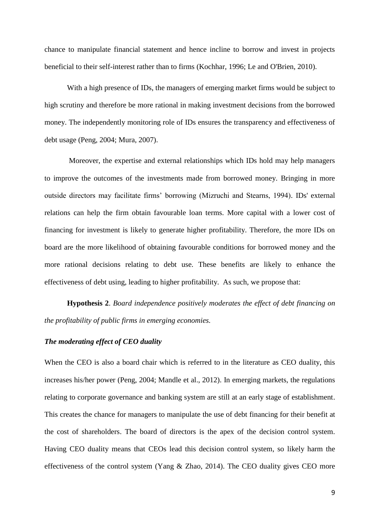chance to manipulate financial statement and hence incline to borrow and invest in projects beneficial to their self-interest rather than to firms (Kochhar, 1996; Le and O'Brien, 2010).

With a high presence of IDs, the managers of emerging market firms would be subject to high scrutiny and therefore be more rational in making investment decisions from the borrowed money. The independently monitoring role of IDs ensures the transparency and effectiveness of debt usage (Peng, 2004; Mura, 2007).

Moreover, the expertise and external relationships which IDs hold may help managers to improve the outcomes of the investments made from borrowed money. Bringing in more outside directors may facilitate firms' borrowing (Mizruchi and Stearns, 1994). IDs' external relations can help the firm obtain favourable loan terms. More capital with a lower cost of financing for investment is likely to generate higher profitability. Therefore, the more IDs on board are the more likelihood of obtaining favourable conditions for borrowed money and the more rational decisions relating to debt use. These benefits are likely to enhance the effectiveness of debt using, leading to higher profitability. As such, we propose that:

**Hypothesis 2**. *Board independence positively moderates the effect of debt financing on the profitability of public firms in emerging economies.*

## *The moderating effect of CEO duality*

When the CEO is also a board chair which is referred to in the literature as CEO duality, this increases his/her power (Peng, 2004; Mandle et al., 2012). In emerging markets, the regulations relating to corporate governance and banking system are still at an early stage of establishment. This creates the chance for managers to manipulate the use of debt financing for their benefit at the cost of shareholders. The board of directors is the apex of the decision control system. Having CEO duality means that CEOs lead this decision control system, so likely harm the effectiveness of the control system (Yang & Zhao, 2014). The CEO duality gives CEO more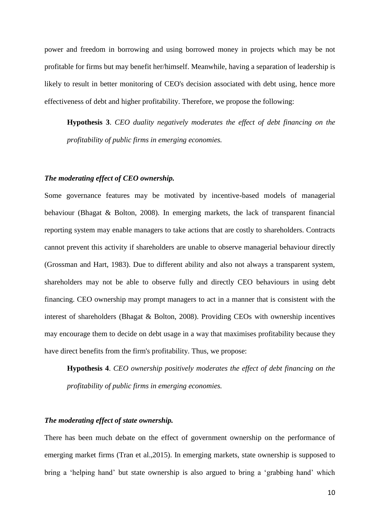power and freedom in borrowing and using borrowed money in projects which may be not profitable for firms but may benefit her/himself. Meanwhile, having a separation of leadership is likely to result in better monitoring of CEO's decision associated with debt using, hence more effectiveness of debt and higher profitability. Therefore, we propose the following:

**Hypothesis 3**. *CEO duality negatively moderates the effect of debt financing on the profitability of public firms in emerging economies.*

## *The moderating effect of CEO ownership.*

Some governance features may be motivated by incentive-based models of managerial behaviour (Bhagat & Bolton, 2008). In emerging markets, the lack of transparent financial reporting system may enable managers to take actions that are costly to shareholders. Contracts cannot prevent this activity if shareholders are unable to observe managerial behaviour directly (Grossman and Hart, 1983). Due to different ability and also not always a transparent system, shareholders may not be able to observe fully and directly CEO behaviours in using debt financing. CEO ownership may prompt managers to act in a manner that is consistent with the interest of shareholders (Bhagat & Bolton, 2008). Providing CEOs with ownership incentives may encourage them to decide on debt usage in a way that maximises profitability because they have direct benefits from the firm's profitability. Thus, we propose:

**Hypothesis 4**. *CEO ownership positively moderates the effect of debt financing on the profitability of public firms in emerging economies.*

## *The moderating effect of state ownership.*

There has been much debate on the effect of government ownership on the performance of emerging market firms (Tran et al.,2015). In emerging markets, state ownership is supposed to bring a 'helping hand' but state ownership is also argued to bring a 'grabbing hand' which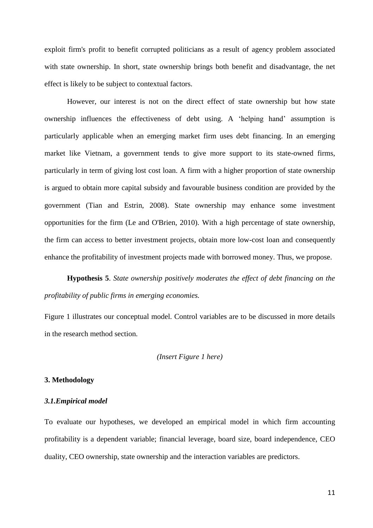exploit firm's profit to benefit corrupted politicians as a result of agency problem associated with state ownership. In short, state ownership brings both benefit and disadvantage, the net effect is likely to be subject to contextual factors.

However, our interest is not on the direct effect of state ownership but how state ownership influences the effectiveness of debt using. A 'helping hand' assumption is particularly applicable when an emerging market firm uses debt financing. In an emerging market like Vietnam, a government tends to give more support to its state-owned firms, particularly in term of giving lost cost loan. A firm with a higher proportion of state ownership is argued to obtain more capital subsidy and favourable business condition are provided by the government (Tian and Estrin, 2008). State ownership may enhance some investment opportunities for the firm (Le and O'Brien, 2010). With a high percentage of state ownership, the firm can access to better investment projects, obtain more low-cost loan and consequently enhance the profitability of investment projects made with borrowed money. Thus, we propose.

**Hypothesis 5**. *State ownership positively moderates the effect of debt financing on the profitability of public firms in emerging economies.*

Figure 1 illustrates our conceptual model. Control variables are to be discussed in more details in the research method section.

## *(Insert Figure 1 here)*

#### **3. Methodology**

#### *3.1.Empirical model*

To evaluate our hypotheses, we developed an empirical model in which firm accounting profitability is a dependent variable; financial leverage, board size, board independence, CEO duality, CEO ownership, state ownership and the interaction variables are predictors.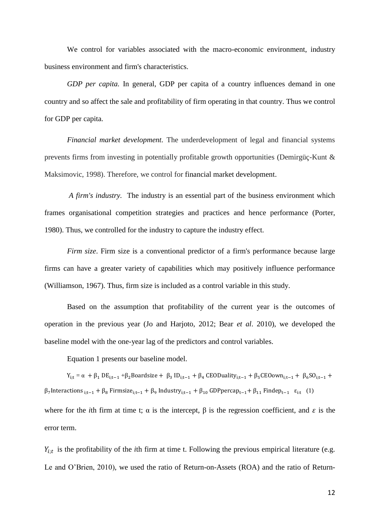We control for variables associated with the macro-economic environment, industry business environment and firm's characteristics.

*GDP per capita.* In general, GDP per capita of a country influences demand in one country and so affect the sale and profitability of firm operating in that country. Thus we control for GDP per capita.

*Financial market development.* The underdevelopment of legal and financial systems prevents firms from investing in potentially profitable growth opportunities (Demirgüç-Kunt & Maksimovic, 1998). Therefore, we control for financial market development.

*A firm's industry.* The industry is an essential part of the business environment which frames organisational competition strategies and practices and hence performance [\(Porter,](#page-25-0)  [1980\)](#page-25-0). Thus, we controlled for the industry to capture the industry effect.

*Firm size*. Firm size is a conventional predictor of a firm's performance because large firms can have a greater variety of capabilities which may positively influence performance (Williamson, 1967). Thus, firm size is included as a control variable in this study.

Based on the assumption that profitability of the current year is the outcomes of operation in the previous year (Jo and Harjoto, 2012; Bear *et al*. 2010), we developed the baseline model with the one-year lag of the predictors and control variables.

Equation 1 presents our baseline model.

 $Y_{i,t} = \alpha + \beta_1 DE_{i,t-1} + \beta_2$ Boardsize +  $\beta_3 ID_{i,t-1} + \beta_4$  CEODuality<sub>i;t−1</sub> + β<sub>5</sub>CEOown<sub>i;t−1</sub> + β<sub>6</sub>SO<sub>i;t−1</sub> +  $β_7$ Interactions <sub>i;t−1</sub> + β<sub>8</sub> Firmsize<sub>i;t−1</sub> + β<sub>9</sub> Industry<sub>i;t−1</sub> + β<sub>10</sub> GDPpercap<sub>t−1</sub> + β<sub>11</sub> Findep<sub>t−1</sub> ε<sub>i:t</sub> (1)

where for the *i*th firm at time t;  $\alpha$  is the intercept,  $\beta$  is the regression coefficient, and  $\varepsilon$  is the error term.

 $Y_{i,t}$  is the profitability of the *i*th firm at time t. Following the previous empirical literature (e.g. Le and O'Brien, 2010), we used the ratio of Return-on-Assets (ROA) and the ratio of Return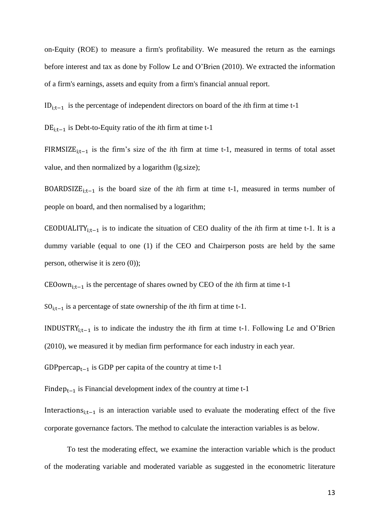on-Equity (ROE) to measure a firm's profitability. We measured the return as the earnings before interest and tax as done by Follow Le and O'Brien (2010). We extracted the information of a firm's earnings, assets and equity from a firm's financial annual report.

IDi;t−1 is the percentage of independent directors on board of the *i*th firm at time t-1

DEi;t−1 is Debt-to-Equity ratio of the *i*th firm at time t-1

FIRMSIZEi;t−1 is the firm's size of the *i*th firm at time t-1, measured in terms of total asset value, and then normalized by a logarithm (lg.size);

BOARDSIZEi;t−1 is the board size of the *i*th firm at time t-1, measured in terms number of people on board, and then normalised by a logarithm;

CEODUALITYi;t−1 is to indicate the situation of CEO duality of the *i*th firm at time t-1. It is a dummy variable (equal to one (1) if the CEO and Chairperson posts are held by the same person, otherwise it is zero (0));

CEOowni;t−1 is the percentage of shares owned by CEO of the *i*th firm at time t-1

SO<sub>i:t−1</sub> is a percentage of state ownership of the *i*th firm at time t-1.

INDUSTRYi;t−1 is to indicate the industry the *i*th firm at time t-1. Following Le and O'Brien (2010), we measured it by median firm performance for each industry in each year.

GDP percap<sub>t−1</sub> is GDP per capita of the country at time t-1

Findep<sub>t−1</sub> is Financial development index of the country at time t-1

Interactionsi;t−1 is an interaction variable used to evaluate the moderating effect of the five corporate governance factors. The method to calculate the interaction variables is as below.

To test the moderating effect, we examine the interaction variable which is the product of the moderating variable and moderated variable as suggested in the econometric literature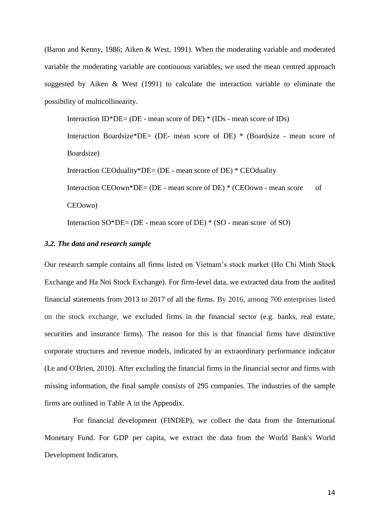(Baron and Kenny, 1986; Aiken & West, 1991). When the moderating variable and moderated variable the moderating variable are continuous variables, we used the mean centred approach suggested by Aiken & West (1991) to calculate the interaction variable to eliminate the possibility of multicollinearity.

Interaction  $ID^*DE = (DE - mean score of DE)^* (IDs - mean score of IDs)$ 

Interaction Boardsize\*DE= (DE- mean score of DE) \* (Boardsize - mean score of Boardsize)

Interaction CEOduality\*DE= (DE - mean score of DE) \* CEOduality

Interaction CEOown\*DE= (DE - mean score of DE) \* (CEOown - mean score of

CEOown)

Interaction SO\*DE= (DE - mean score of DE) \* (SO - mean score of SO)

## *3.2. The data and research sample*

Our research sample contains all firms listed on Vietnam's stock market (Ho Chi Minh Stock Exchange and Ha Noi Stock Exchange). For firm-level data, we extracted data from the audited financial statements from 2013 to 2017 of all the firms. By 2016, among 700 enterprises listed on the stock exchange, we excluded firms in the financial sector (e.g. banks, real estate, securities and insurance firms). The reason for this is that financial firms have distinctive corporate structures and revenue models, indicated by an extraordinary performance indicator (Le and O'Brien, 2010). After excluding the financial firms in the financial sector and firms with missing information, the final sample consists of 295 companies. The industries of the sample firms are outlined in Table A in the Appendix.

For financial development (FINDEP), we collect the data from the International Monetary Fund. For GDP per capita, we extract the data from the World Bank's World Development Indicators.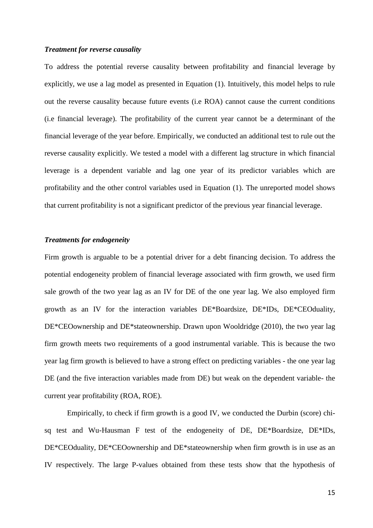### *Treatment for reverse causality*

To address the potential reverse causality between profitability and financial leverage by explicitly, we use a lag model as presented in Equation (1). Intuitively, this model helps to rule out the reverse causality because future events (i.e ROA) cannot cause the current conditions (i.e financial leverage). The profitability of the current year cannot be a determinant of the financial leverage of the year before. Empirically, we conducted an additional test to rule out the reverse causality explicitly. We tested a model with a different lag structure in which financial leverage is a dependent variable and lag one year of its predictor variables which are profitability and the other control variables used in Equation (1). The unreported model shows that current profitability is not a significant predictor of the previous year financial leverage.

## *Treatments for endogeneity*

Firm growth is arguable to be a potential driver for a debt financing decision. To address the potential endogeneity problem of financial leverage associated with firm growth, we used firm sale growth of the two year lag as an IV for DE of the one year lag. We also employed firm growth as an IV for the interaction variables DE\*Boardsize, DE\*IDs, DE\*CEOduality, DE\*CEOownership and DE\*stateownership. Drawn upon Wooldridge (2010), the two year lag firm growth meets two requirements of a good instrumental variable. This is because the two year lag firm growth is believed to have a strong effect on predicting variables - the one year lag DE (and the five interaction variables made from DE) but weak on the dependent variable- the current year profitability (ROA, ROE).

Empirically, to check if firm growth is a good IV, we conducted the Durbin (score) chisq test and Wu-Hausman F test of the endogeneity of DE, DE\*Boardsize, DE\*IDs, DE\*CEOduality, DE\*CEOownership and DE\*stateownership when firm growth is in use as an IV respectively*.* The large P-values obtained from these tests show that the hypothesis of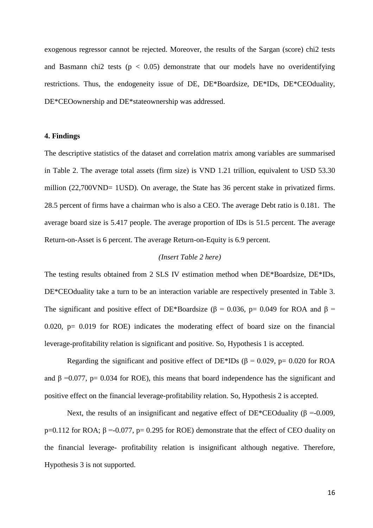exogenous regressor cannot be rejected. Moreover, the results of the Sargan (score) chi2 tests and Basmann chi2 tests ( $p < 0.05$ ) demonstrate that our models have no overidentifying restrictions. Thus, the endogeneity issue of DE, DE\*Boardsize, DE\*IDs, DE\*CEOduality, DE\*CEOownership and DE\*stateownership was addressed.

## **4. Findings**

The descriptive statistics of the dataset and correlation matrix among variables are summarised in Table 2. The average total assets (firm size) is VND 1.21 trillion, equivalent to USD 53.30 million (22,700VND= 1USD). On average, the State has 36 percent stake in privatized firms. 28.5 percent of firms have a chairman who is also a CEO. The average Debt ratio is 0.181. The average board size is 5.417 people. The average proportion of IDs is 51.5 percent. The average Return-on-Asset is 6 percent. The average Return-on-Equity is 6.9 percent.

## *(Insert Table 2 here)*

The testing results obtained from 2 SLS IV estimation method when DE\*Boardsize, DE\*IDs, DE\*CEOduality take a turn to be an interaction variable are respectively presented in Table 3. The significant and positive effect of DE\*Boardsize ( $\beta$  = 0.036, p= 0.049 for ROA and  $\beta$  = 0.020,  $p = 0.019$  for ROE) indicates the moderating effect of board size on the financial leverage-profitability relation is significant and positive. So, Hypothesis 1 is accepted.

Regarding the significant and positive effect of DE\*IDs ( $\beta$  = 0.029, p= 0.020 for ROA and  $\beta$  =0.077, p= 0.034 for ROE), this means that board independence has the significant and positive effect on the financial leverage-profitability relation. So, Hypothesis 2 is accepted.

Next, the results of an insignificant and negative effect of DE\*CEO duality ( $\beta = -0.009$ , p=0.112 for ROA;  $\beta$  =-0.077, p= 0.295 for ROE) demonstrate that the effect of CEO duality on the financial leverage- profitability relation is insignificant although negative. Therefore, Hypothesis 3 is not supported.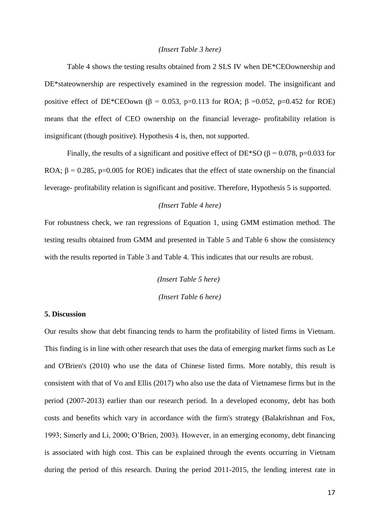#### *(Insert Table 3 here)*

Table 4 shows the testing results obtained from 2 SLS IV when DE\*CEOownership and DE\*stateownership are respectively examined in the regression model. The insignificant and positive effect of DE\*CEOown (β = 0.053, p=0.113 for ROA; β = 0.052, p=0.452 for ROE) means that the effect of CEO ownership on the financial leverage- profitability relation is insignificant (though positive). Hypothesis 4 is, then, not supported.

Finally, the results of a significant and positive effect of DE\*SO ( $\beta$  = 0.078, p=0.033 for ROA;  $\beta$  = 0.285, p=0.005 for ROE) indicates that the effect of state ownership on the financial leverage- profitability relation is significant and positive. Therefore, Hypothesis 5 is supported.

## *(Insert Table 4 here)*

For robustness check, we ran regressions of Equation 1, using GMM estimation method. The testing results obtained from GMM and presented in Table 5 and Table 6 show the consistency with the results reported in Table 3 and Table 4. This indicates that our results are robust.

> *(Insert Table 5 here) (Insert Table 6 here)*

## **5. Discussion**

Our results show that debt financing tends to harm the profitability of listed firms in Vietnam. This finding is in line with other research that uses the data of emerging market firms such as Le and O'Brien's (2010) who use the data of Chinese listed firms. More notably, this result is consistent with that of Vo and Ellis (2017) who also use the data of Vietnamese firms but in the period (2007-2013) earlier than our research period. In a developed economy, debt has both costs and benefits which vary in accordance with the firm's strategy (Balakrishnan and Fox, 1993; Simerly and Li, 2000; O'Brien, 2003). However, in an emerging economy, debt financing is associated with high cost. This can be explained through the events occurring in Vietnam during the period of this research. During the period 2011-2015, the lending interest rate in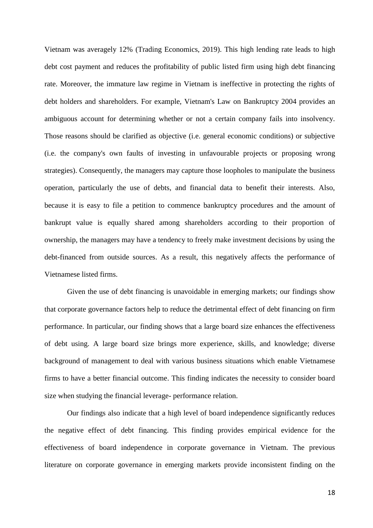Vietnam was averagely 12% (Trading Economics, 2019). This high lending rate leads to high debt cost payment and reduces the profitability of public listed firm using high debt financing rate. Moreover, the immature law regime in Vietnam is ineffective in protecting the rights of debt holders and shareholders. For example, Vietnam's Law on Bankruptcy 2004 provides an ambiguous account for determining whether or not a certain company fails into insolvency. Those reasons should be clarified as objective (i.e. general economic conditions) or subjective (i.e. the company's own faults of investing in unfavourable projects or proposing wrong strategies). Consequently, the managers may capture those loopholes to manipulate the business operation, particularly the use of debts, and financial data to benefit their interests. Also, because it is easy to file a petition to commence bankruptcy procedures and the amount of bankrupt value is equally shared among shareholders according to their proportion of ownership, the managers may have a tendency to freely make investment decisions by using the debt-financed from outside sources. As a result, this negatively affects the performance of Vietnamese listed firms.

Given the use of debt financing is unavoidable in emerging markets; our findings show that corporate governance factors help to reduce the detrimental effect of debt financing on firm performance. In particular, our finding shows that a large board size enhances the effectiveness of debt using. A large board size brings more experience, skills, and knowledge; diverse background of management to deal with various business situations which enable Vietnamese firms to have a better financial outcome. This finding indicates the necessity to consider board size when studying the financial leverage- performance relation.

Our findings also indicate that a high level of board independence significantly reduces the negative effect of debt financing. This finding provides empirical evidence for the effectiveness of board independence in corporate governance in Vietnam. The previous literature on corporate governance in emerging markets provide inconsistent finding on the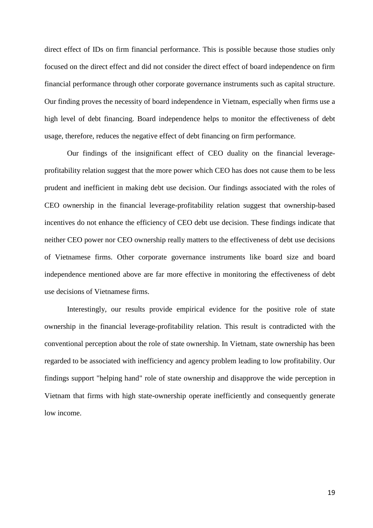direct effect of IDs on firm financial performance. This is possible because those studies only focused on the direct effect and did not consider the direct effect of board independence on firm financial performance through other corporate governance instruments such as capital structure. Our finding proves the necessity of board independence in Vietnam, especially when firms use a high level of debt financing. Board independence helps to monitor the effectiveness of debt usage, therefore, reduces the negative effect of debt financing on firm performance.

Our findings of the insignificant effect of CEO duality on the financial leverageprofitability relation suggest that the more power which CEO has does not cause them to be less prudent and inefficient in making debt use decision. Our findings associated with the roles of CEO ownership in the financial leverage-profitability relation suggest that ownership-based incentives do not enhance the efficiency of CEO debt use decision. These findings indicate that neither CEO power nor CEO ownership really matters to the effectiveness of debt use decisions of Vietnamese firms. Other corporate governance instruments like board size and board independence mentioned above are far more effective in monitoring the effectiveness of debt use decisions of Vietnamese firms.

Interestingly, our results provide empirical evidence for the positive role of state ownership in the financial leverage-profitability relation. This result is contradicted with the conventional perception about the role of state ownership. In Vietnam, state ownership has been regarded to be associated with inefficiency and agency problem leading to low profitability. Our findings support "helping hand" role of state ownership and disapprove the wide perception in Vietnam that firms with high state-ownership operate inefficiently and consequently generate low income.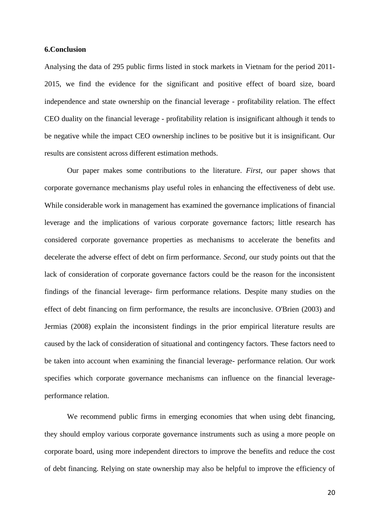#### **6.Conclusion**

Analysing the data of 295 public firms listed in stock markets in Vietnam for the period 2011- 2015, we find the evidence for the significant and positive effect of board size, board independence and state ownership on the financial leverage - profitability relation. The effect CEO duality on the financial leverage - profitability relation is insignificant although it tends to be negative while the impact CEO ownership inclines to be positive but it is insignificant. Our results are consistent across different estimation methods.

Our paper makes some contributions to the literature. *First,* our paper shows that corporate governance mechanisms play useful roles in enhancing the effectiveness of debt use. While considerable work in management has examined the governance implications of financial leverage and the implications of various corporate governance factors; little research has considered corporate governance properties as mechanisms to accelerate the benefits and decelerate the adverse effect of debt on firm performance. *Second,* our study points out that the lack of consideration of corporate governance factors could be the reason for the inconsistent findings of the financial leverage- firm performance relations. Despite many studies on the effect of debt financing on firm performance, the results are inconclusive. O'Brien (2003) and Jermias (2008) explain the inconsistent findings in the prior empirical literature results are caused by the lack of consideration of situational and contingency factors. These factors need to be taken into account when examining the financial leverage- performance relation. Our work specifies which corporate governance mechanisms can influence on the financial leverageperformance relation.

We recommend public firms in emerging economies that when using debt financing, they should employ various corporate governance instruments such as using a more people on corporate board, using more independent directors to improve the benefits and reduce the cost of debt financing. Relying on state ownership may also be helpful to improve the efficiency of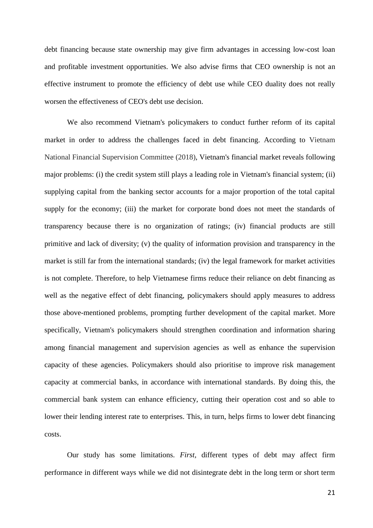debt financing because state ownership may give firm advantages in accessing low-cost loan and profitable investment opportunities. We also advise firms that CEO ownership is not an effective instrument to promote the efficiency of debt use while CEO duality does not really worsen the effectiveness of CEO's debt use decision.

We also recommend Vietnam's policymakers to conduct further reform of its capital market in order to address the challenges faced in debt financing. According to Vietnam National Financial Supervision Committee (2018), Vietnam's financial market reveals following major problems: (i) the credit system still plays a leading role in Vietnam's financial system; (ii) supplying capital from the banking sector accounts for a major proportion of the total capital supply for the economy; (iii) the market for corporate bond does not meet the standards of transparency because there is no organization of ratings; (iv) financial products are still primitive and lack of diversity; (v) the quality of information provision and transparency in the market is still far from the international standards; (iv) the legal framework for market activities is not complete. Therefore, to help Vietnamese firms reduce their reliance on debt financing as well as the negative effect of debt financing, policymakers should apply measures to address those above-mentioned problems, prompting further development of the capital market. More specifically, Vietnam's policymakers should strengthen coordination and information sharing among financial management and supervision agencies as well as enhance the supervision capacity of these agencies. Policymakers should also prioritise to improve risk management capacity at commercial banks, in accordance with international standards. By doing this, the commercial bank system can enhance efficiency, cutting their operation cost and so able to lower their lending interest rate to enterprises. This, in turn, helps firms to lower debt financing costs.

Our study has some limitations. *First,* different types of debt may affect firm performance in different ways while we did not disintegrate debt in the long term or short term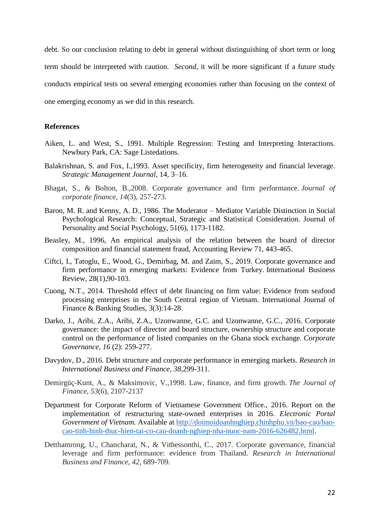debt. So our conclusion relating to debt in general without distinguishing of short term or long term should be interpreted with caution. *Second,* it will be more significant if a future study conducts empirical tests on several emerging economies rather than focusing on the context of one emerging economy as we did in this research.

## **References**

- Aiken, L. and West, S., 1991. Multiple Regression: Testing and Interpreting Interactions*.*  Newbury Park, CA: Sage Listedations.
- Balakrishnan, S. and Fox, I.,1993. Asset specificity, firm heterogeneity and financial leverage. *Strategic Management Journal*, 14, 3–16.
- Bhagat, S., & Bolton, B.,2008. Corporate governance and firm performance. *Journal of corporate finance*, *14*(3), 257-273.
- Baron, M. R. and Kenny, A. D., 1986. The Moderator Mediator Variable Distinction in Social Psychological Research: Conceptual, Strategic and Statistical Consideration. Journal of Personality and Social Psychology, 51(6), 1173-1182.
- Beasley, M., 1996, An empirical analysis of the relation between the board of director composition and financial statement fraud, Accounting Review 71, 443-465.
- Ciftci, I., Tatoglu, E., Wood, G., Demirbag, M. and Zaim, S., 2019. Corporate governance and firm performance in emerging markets: Evidence from Turkey. International Business Review, 28(1),90-103.
- Cuong, N.T., 2014. Threshold effect of debt financing on firm value: Evidence from seafood processing enterprises in the South Central region of Vietnam. International Journal of Finance & Banking Studies, 3(3):14-28.
- Darko, J., Aribi, Z.A., Aribi, Z.A., Uzonwanne, G.C. and Uzonwanne, G.C., 2016. Corporate governance: the impact of director and board structure, ownership structure and corporate control on the performance of listed companies on the Ghana stock exchange. *Corporate Governance*, *16* (2): 259-277.
- Davydov, D., 2016. Debt structure and corporate performance in emerging markets. *Research in International Business and Finance*, *38*,299-311.
- Demirgüç-Kunt, A., & Maksimovic, V.,1998. Law, finance, and firm growth. *The Journal of Finance*, *53*(6), 2107-2137
- Department for Corporate Reform of Vietnamese Government Office., 2016. Report on the implementation of restructuring state-owned enterprises in 2016. *Electronic Portal Government of Vietnam.* Available at [http://doimoidoanhnghiep.chinhphu.vn/bao-cao/bao](http://doimoidoanhnghiep.chinhphu.vn/bao-cao/bao-cao-tinh-hinh-thuc-hien-tai-co-cau-doanh-nghiep-nha-nuoc-nam-2016-626482.html)[cao-tinh-hinh-thuc-hien-tai-co-cau-doanh-nghiep-nha-nuoc-nam-2016-626482.html.](http://doimoidoanhnghiep.chinhphu.vn/bao-cao/bao-cao-tinh-hinh-thuc-hien-tai-co-cau-doanh-nghiep-nha-nuoc-nam-2016-626482.html)
- Detthamrong, U., Chancharat, N., & Vithessonthi, C., 2017. Corporate governance, financial leverage and firm performance: evidence from Thailand. *Research in International Business and Finance*, *42*, 689-709.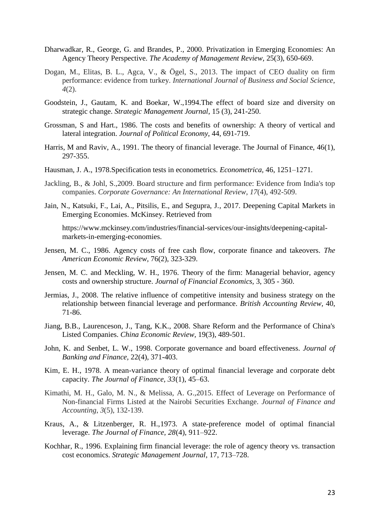- Dharwadkar, R., George, G. and Brandes, P., 2000. Privatization in Emerging Economies: An Agency Theory Perspective. *The Academy of Management Review,* 25(3), 650-669.
- Dogan, M., Elitas, B. L., Agca, V., & Ögel, S., 2013. The impact of CEO duality on firm performance: evidence from turkey. *International Journal of Business and Social Science*, *4*(2).
- Goodstein, J., Gautam, K. and Boekar, W.,1994.The effect of board size and diversity on strategic change. *Strategic Management Journal*, 15 (3), 241-250.
- Grossman, S and Hart., 1986. The costs and benefits of ownership: A theory of vertical and lateral integration. *Journal of Political Economy*, 44, 691-719.
- Harris, M and Raviv, A., 1991. The theory of financial leverage. The Journal of Finance, 46(1), 297-355.
- Hausman, J. A., 1978.Specification tests in econometrics. *Econometrica,* 46, 1251–1271.
- Jackling, B., & Johl, S.,2009. Board structure and firm performance: Evidence from India's top companies. *Corporate Governance: An International Review*, *17*(4), 492-509.
- Jain, N., Katsuki, F., Lai, A., Pitsilis, E., and Segupra, J., 2017. Deepening Capital Markets in Emerging Economies. McKinsey. Retrieved from

https://www.mckinsey.com/industries/financial-services/our-insights/deepening-capitalmarkets-in-emerging-economies.

- Jensen, M. C., 1986. Agency costs of free cash flow, corporate finance and takeovers. *The American Economic Review,* 76(2), 323-329.
- Jensen, M. C. and Meckling, W. H., 1976. Theory of the firm: Managerial behavior, agency costs and ownership structure. *Journal of Financial Economics,* 3, 305 - 360.
- Jermias, J., 2008. The relative influence of competitive intensity and business strategy on the relationship between financial leverage and performance. *British Accounting Review,* 40, 71-86.
- Jiang, B.B., Laurenceson, J., Tang, K.K., 2008. Share Reform and the Performance of China's Listed Companies. *China Economic Review,* 19(3), 489-501.
- John, K. and Senbet, L. W., 1998. Corporate governance and board effectiveness. *Journal of Banking and Finance,* 22(4), 371-403.
- Kim, E. H., 1978. A mean-variance theory of optimal financial leverage and corporate debt capacity. *The Journal of Finance, 33*(1), 45–63.
- Kimathi, M. H., Galo, M. N., & Melissa, A. G.,2015. Effect of Leverage on Performance of Non-financial Firms Listed at the Nairobi Securities Exchange. *Journal of Finance and Accounting*, *3*(5), 132-139.
- Kraus, A., & Litzenberger, R. H.,1973. A state-preference model of optimal financial leverage. *The Journal of Finance, 28*(4), 911–922.
- Kochhar, R., 1996. Explaining firm financial leverage: the role of agency theory vs. transaction cost economics. *Strategic Management Journal*, 17, 713–728.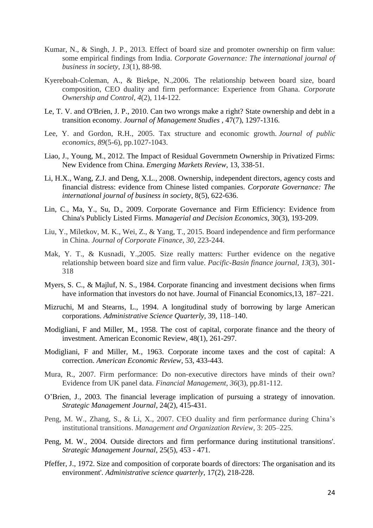- Kumar, N., & Singh, J. P., 2013. Effect of board size and promoter ownership on firm value: some empirical findings from India. *Corporate Governance: The international journal of business in society*, *13*(1), 88-98.
- Kyereboah-Coleman, A., & Biekpe, N.,2006. The relationship between board size, board composition, CEO duality and firm performance: Experience from Ghana. *Corporate Ownership and Control*, *4*(2), 114-122.
- Le, T. V. and O'Brien, J. P., 2010. Can two wrongs make a right? State ownership and debt in a transition economy. *Journal of Management Studies ,* 47(7), 1297-1316.
- Lee, Y. and Gordon, R.H., 2005. Tax structure and economic growth. *Journal of public economics*, *89*(5-6), pp.1027-1043.
- Liao, J., Young, M., 2012. The Impact of Residual Governmetn Ownership in Privatized Firms: New Evidence from China. *Emerging Markets Review*, 13, 338-51.
- Li, H.X., Wang, Z.J. and Deng, X.L., 2008. Ownership, independent directors, agency costs and financial distress: evidence from Chinese listed companies. *Corporate Governance: The international journal of business in society*, 8(5), 622-636.
- Lin, C., Ma, Y., Su, D., 2009. Corporate Governance and Firm Efficiency: Evidence from China's Publicly Listed Firms. *Managerial and Decision Economics*, 30(3), 193-209.
- Liu, Y., Miletkov, M. K., Wei, Z., & Yang, T., 2015. Board independence and firm performance in China. *Journal of Corporate Finance*, *30*, 223-244.
- Mak, Y. T., & Kusnadi, Y.,2005. Size really matters: Further evidence on the negative relationship between board size and firm value. *Pacific-Basin finance journal*, *13*(3), 301- 318
- Myers, S. C., & Majluf, N. S., 1984. Corporate financing and investment decisions when firms have information that investors do not have. Journal of Financial Economics, 13, 187–221.
- Mizruchi, M and Stearns, L., 1994. A longitudinal study of borrowing by large American corporations. *Administrative Science Quarterly,* 39, 118–140.
- Modigliani, F and Miller, M., 1958. The cost of capital, corporate finance and the theory of investment. American Economic Review, 48(1), 261-297.
- Modigliani, F and Miller, M., 1963. Corporate income taxes and the cost of capital: A correction. *American Economic Review*, 53, 433-443.
- Mura, R., 2007. Firm performance: Do non‐executive directors have minds of their own? Evidence from UK panel data. *Financial Management*, *36*(3), pp.81-112.
- O'Brien, J., 2003. The financial leverage implication of pursuing a strategy of innovation. *Strategic Management Journal*, 24(2), 415-431.
- Peng, M. W., Zhang, S., & Li, X., 2007. CEO duality and firm performance during China's institutional transitions. *Management and Organization Review*, 3: 205–225.
- Peng, M. W., 2004. Outside directors and firm performance during institutional transitions'. *Strategic Management Journal,* 25(5), 453 - 471.
- Pfeffer, J., 1972. Size and composition of corporate boards of directors: The organisation and its environment'. *Administrative science quarterly,* 17(2), 218-228.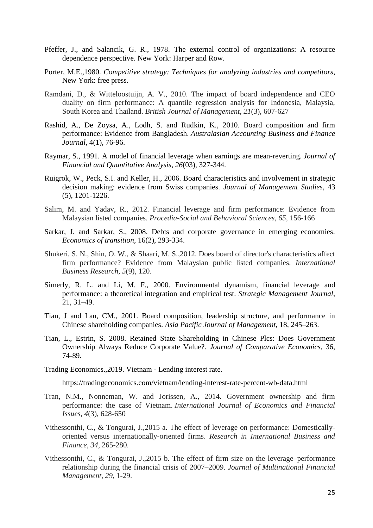- <span id="page-25-0"></span>Pfeffer, J., and Salancik, G. R., 1978. The external control of organizations: A resource dependence perspective. New York: Harper and Row.
- Porter, M.E.,1980. *Competitive strategy: Techniques for analyzing industries and competitors*, New York: free press.
- Ramdani, D., & Witteloostuijn, A. V., 2010. The impact of board independence and CEO duality on firm performance: A quantile regression analysis for Indonesia, Malaysia, South Korea and Thailand. *British Journal of Management*, *21*(3), 607-627
- Rashid, A., De Zoysa, A., Lodh, S. and Rudkin, K., 2010. Board composition and firm performance: Evidence from Bangladesh. *Australasian Accounting Business and Finance Journal*, 4(1), 76-96.
- Raymar, S., 1991. A model of financial leverage when earnings are mean-reverting. *Journal of Financial and Quantitative Analysis*, *26*(03), 327-344.
- Ruigrok, W., Peck, S.I. and Keller, H., 2006. Board characteristics and involvement in strategic decision making: evidence from Swiss companies. *Journal of Management Studies*, 43 (5), 1201-1226.
- Salim, M. and Yadav, R., 2012. Financial leverage and firm performance: Evidence from Malaysian listed companies. *Procedia-Social and Behavioral Sciences*, *65*, 156-166
- Sarkar, J. and Sarkar, S., 2008. Debts and corporate governance in emerging economies. *Economics of transition,* 16(2), 293-334.
- Shukeri, S. N., Shin, O. W., & Shaari, M. S.,2012. Does board of director's characteristics affect firm performance? Evidence from Malaysian public listed companies. *International Business Research*, *5*(9), 120.
- Simerly, R. L. and Li, M. F., 2000. Environmental dynamism, financial leverage and performance: a theoretical integration and empirical test. *Strategic Management Journal*, 21, 31–49.
- Tian, J and Lau, CM., 2001. Board composition, leadership structure, and performance in Chinese shareholding companies. *Asia Pacific Journal of Management,* 18, 245–263.
- Tian, L., Estrin, S. 2008. Retained State Shareholding in Chinese Plcs: Does Government Ownership Always Reduce Corporate Value?. *Journal of Comparative Economics*, 36, 74-89.
- Trading Economics.,2019. Vietnam Lending interest rate.

<https://tradingeconomics.com/vietnam/lending-interest-rate-percent-wb-data.html>

- Tran, N.M., Nonneman, W. and Jorissen, A., 2014. Government ownership and firm performance: the case of Vietnam. *International Journal of Economics and Financial Issues*, *4*(3), 628-650
- Vithessonthi, C., & Tongurai, J.,2015 a. The effect of leverage on performance: Domesticallyoriented versus internationally-oriented firms. *Research in International Business and Finance*, *34*, 265-280.
- Vithessonthi, C., & Tongurai, J.,2015 b. The effect of firm size on the leverage–performance relationship during the financial crisis of 2007–2009. *Journal of Multinational Financial Management*, *29*, 1-29.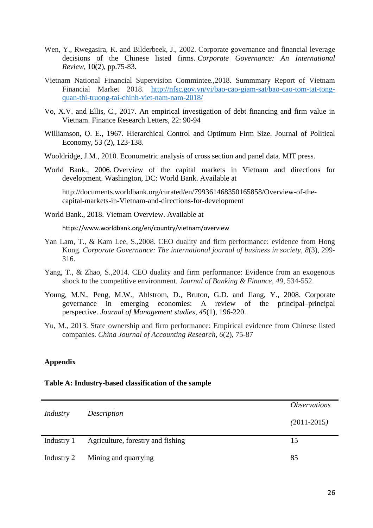- Wen, Y., Rwegasira, K. and Bilderbeek, J., 2002. Corporate governance and financial leverage decisions of the Chinese listed firms. *Corporate Governance: An International Review*, 10(2), pp.75-83.
- Vietnam National Financial Supervision Commintee.,2018. Summmary Report of Vietnam Financial Market 2018. [http://nfsc.gov.vn/vi/bao-cao-giam-sat/bao-cao-tom-tat-tong](http://nfsc.gov.vn/vi/bao-cao-giam-sat/bao-cao-tom-tat-tong-quan-thi-truong-tai-chinh-viet-nam-nam-2018/)[quan-thi-truong-tai-chinh-viet-nam-nam-2018/](http://nfsc.gov.vn/vi/bao-cao-giam-sat/bao-cao-tom-tat-tong-quan-thi-truong-tai-chinh-viet-nam-nam-2018/)
- Vo, X.V. and Ellis, C., 2017. An empirical investigation of debt financing and firm value in Vietnam. Finance Research Letters, 22: 90-94
- Williamson, O. E., 1967. Hierarchical Control and Optimum Firm Size. Journal of Political Economy, 53 (2), 123-138.
- Wooldridge, J.M., 2010. Econometric analysis of cross section and panel data. MIT press.
- World Bank., 2006. Overview of the capital markets in Vietnam and directions for development. Washington, DC: World Bank. Available at

[http://documents.worldbank.org/curated/en/799361468350165858/Overview-of-the](http://documents.worldbank.org/curated/en/799361468350165858/Overview-of-the-capital-markets-in-Vietnam-and-directions-for-development)[capital-markets-in-Vietnam-and-directions-for-development](http://documents.worldbank.org/curated/en/799361468350165858/Overview-of-the-capital-markets-in-Vietnam-and-directions-for-development)

World Bank., 2018. Vietnam Overview. Available at

<https://www.worldbank.org/en/country/vietnam/overview>

- Yan Lam, T., & Kam Lee, S.,2008. CEO duality and firm performance: evidence from Hong Kong. *Corporate Governance: The international journal of business in society*, *8*(3), 299- 316.
- Yang, T., & Zhao, S., 2014. CEO duality and firm performance: Evidence from an exogenous shock to the competitive environment. *Journal of Banking & Finance*, *49*, 534-552.
- Young, M.N., Peng, M.W., Ahlstrom, D., Bruton, G.D. and Jiang, Y., 2008. Corporate governance in emerging economies: A review of the principal–principal perspective. *Journal of Management studies*, *45*(1), 196-220.
- Yu, M., 2013. State ownership and firm performance: Empirical evidence from Chinese listed companies. *China Journal of Accounting Research*, *6*(2), 75-87

## **Appendix**

## **Table A: Industry-based classification of the sample**

|            |                                   | <i><b>Observations</b></i> |
|------------|-----------------------------------|----------------------------|
| Industry   | Description                       | $(2011 - 2015)$            |
| Industry 1 | Agriculture, forestry and fishing | 15                         |
| Industry 2 | Mining and quarrying              | 85                         |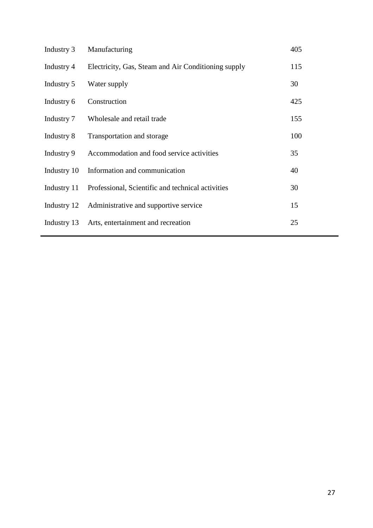| Manufacturing                                       | 405 |
|-----------------------------------------------------|-----|
| Electricity, Gas, Steam and Air Conditioning supply | 115 |
| Water supply                                        | 30  |
| Construction                                        | 425 |
| Wholesale and retail trade                          | 155 |
| Transportation and storage                          | 100 |
| Accommodation and food service activities           | 35  |
| Information and communication                       | 40  |
| Professional, Scientific and technical activities   | 30  |
| Industry 12 Administrative and supportive service   | 15  |
| Arts, entertainment and recreation                  | 25  |
|                                                     |     |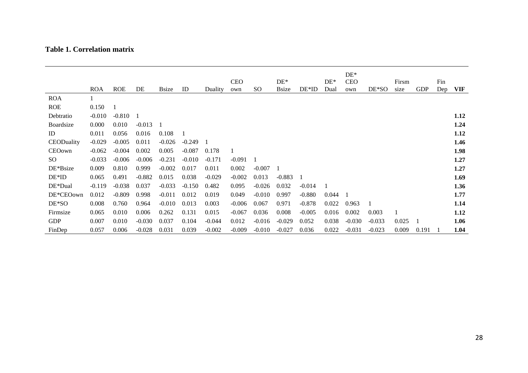## **Table 1. Correlation matrix**

|            | <b>ROA</b> | <b>ROE</b> | DE       | <b>Bsize</b> | ID       | Duality  | <b>CEO</b><br>own | SO <sub>1</sub> | $DE*$<br><b>Bsize</b> | $DE*ID$  | $DE*$<br>Dual | $DE*$<br><b>CEO</b><br>own | DE*SO    | Firsm<br>size | <b>GDP</b> | Fin<br>Dep | <b>VIF</b> |
|------------|------------|------------|----------|--------------|----------|----------|-------------------|-----------------|-----------------------|----------|---------------|----------------------------|----------|---------------|------------|------------|------------|
| <b>ROA</b> |            |            |          |              |          |          |                   |                 |                       |          |               |                            |          |               |            |            |            |
| <b>ROE</b> | 0.150      |            |          |              |          |          |                   |                 |                       |          |               |                            |          |               |            |            |            |
| Debtratio  | $-0.010$   | $-0.810$   | -1       |              |          |          |                   |                 |                       |          |               |                            |          |               |            |            | 1.12       |
| Boardsize  | 0.000      | 0.010      | $-0.013$ | 1            |          |          |                   |                 |                       |          |               |                            |          |               |            |            | 1.24       |
| ID         | 0.011      | 0.056      | 0.016    | 0.108        | 1        |          |                   |                 |                       |          |               |                            |          |               |            |            | 1.12       |
| CEODuality | $-0.029$   | $-0.005$   | 0.011    | $-0.026$     | $-0.249$ |          |                   |                 |                       |          |               |                            |          |               |            |            | 1.46       |
| CEOown     | $-0.062$   | $-0.004$   | 0.002    | 0.005        | $-0.087$ | 0.178    |                   |                 |                       |          |               |                            |          |               |            |            | 1.98       |
| SO         | $-0.033$   | $-0.006$   | $-0.006$ | $-0.231$     | $-0.010$ | $-0.171$ | $-0.091$          |                 |                       |          |               |                            |          |               |            |            | 1.27       |
| DE*Bsize   | 0.009      | 0.810      | 0.999    | $-0.002$     | 0.017    | 0.011    | 0.002             | $-0.007$        |                       |          |               |                            |          |               |            |            | 1.27       |
| $DE*ID$    | 0.065      | 0.491      | $-0.882$ | 0.015        | 0.038    | $-0.029$ | $-0.002$          | 0.013           | $-0.883$              |          |               |                            |          |               |            |            | 1.69       |
| DE*Dual    | $-0.119$   | $-0.038$   | 0.037    | $-0.033$     | $-0.150$ | 0.482    | 0.095             | $-0.026$        | 0.032                 | $-0.014$ |               |                            |          |               |            |            | 1.36       |
| DE*CEOown  | 0.012      | $-0.809$   | 0.998    | $-0.011$     | 0.012    | 0.019    | 0.049             | $-0.010$        | 0.997                 | $-0.880$ | 0.044         |                            |          |               |            |            | 1.77       |
| DE*SO      | 0.008      | 0.760      | 0.964    | $-0.010$     | 0.013    | 0.003    | $-0.006$          | 0.067           | 0.971                 | $-0.878$ | 0.022         | 0.963                      |          |               |            |            | 1.14       |
| Firmsize   | 0.065      | 0.010      | 0.006    | 0.262        | 0.131    | 0.015    | $-0.067$          | 0.036           | 0.008                 | $-0.005$ | 0.016         | 0.002                      | 0.003    |               |            |            | 1.12       |
| <b>GDP</b> | 0.007      | 0.010      | $-0.030$ | 0.037        | 0.104    | $-0.044$ | 0.012             | $-0.016$        | $-0.029$              | 0.052    | 0.038         | $-0.030$                   | $-0.033$ | 0.025         |            |            | 1.06       |
| FinDep     | 0.057      | 0.006      | $-0.028$ | 0.031        | 0.039    | $-0.002$ | $-0.009$          | $-0.010$        | $-0.027$              | 0.036    | 0.022         | $-0.031$                   | $-0.023$ | 0.009         | 0.191      |            | 1.04       |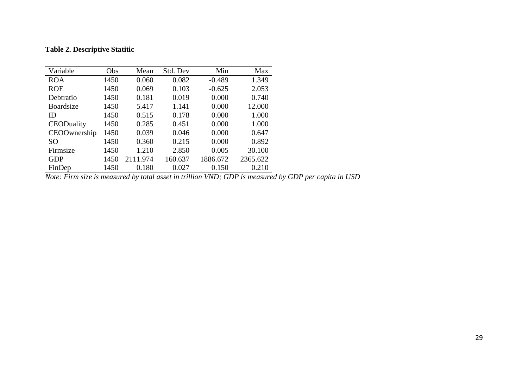## **Table 2. Descriptive Statitic**

| Variable        | Obs  | Mean     | Std. Dev | Min      | Max      |
|-----------------|------|----------|----------|----------|----------|
| <b>ROA</b>      | 1450 | 0.060    | 0.082    | $-0.489$ | 1.349    |
| <b>ROE</b>      | 1450 | 0.069    | 0.103    | $-0.625$ | 2.053    |
| Debtratio       | 1450 | 0.181    | 0.019    | 0.000    | 0.740    |
| Boardsize       | 1450 | 5.417    | 1.141    | 0.000    | 12.000   |
| ID              | 1450 | 0.515    | 0.178    | 0.000    | 1.000    |
| CEODuality      | 1450 | 0.285    | 0.451    | 0.000    | 1.000    |
| CEOOwnership    | 1450 | 0.039    | 0.046    | 0.000    | 0.647    |
| SO <sub>1</sub> | 1450 | 0.360    | 0.215    | 0.000    | 0.892    |
| Firmsize        | 1450 | 1.210    | 2.850    | 0.005    | 30.100   |
| <b>GDP</b>      | 1450 | 2111.974 | 160.637  | 1886.672 | 2365.622 |
| FinDep          | 1450 | 0.180    | 0.027    | 0.150    | 0.210    |

*Note: Firm size is measured by total asset in trillion VND; GDP is measured by GDP per capita in USD*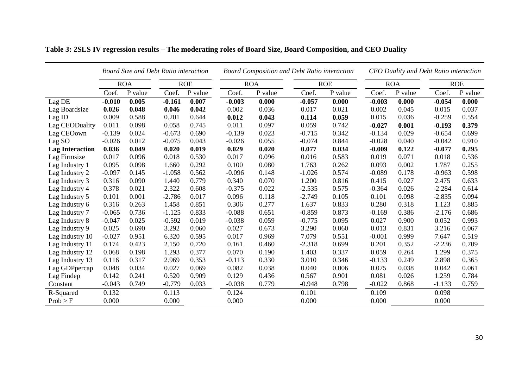|                        |          | Board Size and Debt Ratio interaction |            |         |          |            | <b>Board Composition and Debt Ratio interaction</b> | <b>CEO Duality and Debt Ratio interaction</b> |            |         |            |         |
|------------------------|----------|---------------------------------------|------------|---------|----------|------------|-----------------------------------------------------|-----------------------------------------------|------------|---------|------------|---------|
|                        |          | <b>ROA</b>                            | <b>ROE</b> |         |          | <b>ROA</b> |                                                     | <b>ROE</b>                                    | <b>ROA</b> |         | <b>ROE</b> |         |
|                        | Coef.    | P value                               | Coef.      | P value | Coef.    | P value    | Coef.                                               | P value                                       | Coef.      | P value | Coef.      | P value |
| Lag DE                 | $-0.010$ | 0.005                                 | $-0.161$   | 0.007   | $-0.003$ | 0.000      | $-0.057$                                            | 0.000                                         | $-0.003$   | 0.000   | $-0.054$   | 0.000   |
| Lag Boardsize          | 0.026    | 0.048                                 | 0.046      | 0.042   | 0.002    | 0.036      | 0.017                                               | 0.021                                         | 0.002      | 0.045   | 0.015      | 0.037   |
| Lag ID                 | 0.009    | 0.588                                 | 0.201      | 0.644   | 0.012    | 0.043      | 0.114                                               | 0.059                                         | 0.015      | 0.036   | $-0.259$   | 0.554   |
| Lag CEODuality         | 0.011    | 0.098                                 | 0.058      | 0.745   | 0.011    | 0.097      | 0.059                                               | 0.742                                         | $-0.027$   | 0.001   | $-0.193$   | 0.379   |
| Lag CEOown             | $-0.139$ | 0.024                                 | $-0.673$   | 0.690   | $-0.139$ | 0.023      | $-0.715$                                            | 0.342                                         | $-0.134$   | 0.029   | $-0.654$   | 0.699   |
| Lag SO                 | $-0.026$ | 0.012                                 | $-0.075$   | 0.043   | $-0.026$ | 0.055      | $-0.074$                                            | 0.844                                         | $-0.028$   | 0.040   | $-0.042$   | 0.910   |
| <b>Lag Interaction</b> | 0.036    | 0.049                                 | 0.020      | 0.019   | 0.029    | 0.020      | 0.077                                               | 0.034                                         | $-0.009$   | 0.122   | $-0.077$   | 0.295   |
| Lag Firmsize           | 0.017    | 0.096                                 | 0.018      | 0.530   | 0.017    | 0.096      | 0.016                                               | 0.583                                         | 0.019      | 0.071   | 0.018      | 0.536   |
| Lag Industry 1         | 0.095    | 0.098                                 | 1.660      | 0.292   | 0.100    | 0.080      | 1.763                                               | 0.262                                         | 0.093      | 0.002   | 1.787      | 0.255   |
| Lag Industry 2         | $-0.097$ | 0.145                                 | $-1.058$   | 0.562   | $-0.096$ | 0.148      | $-1.026$                                            | 0.574                                         | $-0.089$   | 0.178   | $-0.963$   | 0.598   |
| Lag Industry 3         | 0.316    | 0.090                                 | 1.440      | 0.779   | 0.340    | 0.070      | 1.200                                               | 0.816                                         | 0.415      | 0.027   | 2.475      | 0.633   |
| Lag Industry 4         | 0.378    | 0.021                                 | 2.322      | 0.608   | $-0.375$ | 0.022      | $-2.535$                                            | 0.575                                         | $-0.364$   | 0.026   | $-2.284$   | 0.614   |
| Lag Industry 5         | 0.101    | 0.001                                 | $-2.786$   | 0.017   | 0.096    | 0.118      | $-2.749$                                            | 0.105                                         | 0.101      | 0.098   | $-2.835$   | 0.094   |
| Lag Industry 6         | 0.316    | 0.263                                 | 1.458      | 0.851   | 0.306    | 0.277      | 1.637                                               | 0.833                                         | 0.280      | 0.318   | 1.123      | 0.885   |
| Lag Industry 7         | $-0.065$ | 0.736                                 | $-1.125$   | 0.833   | $-0.088$ | 0.651      | $-0.859$                                            | 0.873                                         | $-0.169$   | 0.386   | $-2.176$   | 0.686   |
| Lag Industry 8         | $-0.047$ | 0.025                                 | $-0.592$   | 0.019   | $-0.038$ | 0.059      | $-0.775$                                            | 0.095                                         | 0.027      | 0.900   | 0.052      | 0.993   |
| Lag Industry 9         | 0.025    | 0.690                                 | 3.292      | 0.060   | 0.027    | 0.673      | 3.290                                               | 0.060                                         | 0.013      | 0.831   | 3.216      | 0.067   |
| Lag Industry 10        | $-0.027$ | 0.951                                 | 6.320      | 0.595   | 0.017    | 0.969      | 7.079                                               | 0.551                                         | $-0.001$   | 0.999   | 7.647      | 0.519   |
| Lag Industry 11        | 0.174    | 0.423                                 | 2.150      | 0.720   | 0.161    | 0.460      | $-2.318$                                            | 0.699                                         | 0.201      | 0.352   | $-2.236$   | 0.709   |
| Lag Industry 12        | 0.068    | 0.198                                 | 1.293      | 0.377   | 0.070    | 0.190      | 1.403                                               | 0.337                                         | 0.059      | 0.264   | 1.299      | 0.375   |
| Lag Industry 13        | 0.116    | 0.317                                 | 2.969      | 0.353   | $-0.113$ | 0.330      | 3.010                                               | 0.346                                         | $-0.133$   | 0.249   | 2.898      | 0.365   |
| Lag GDPpercap          | 0.048    | 0.034                                 | 0.027      | 0.069   | 0.082    | 0.038      | 0.040                                               | 0.006                                         | 0.075      | 0.038   | 0.042      | 0.061   |
| Lag Findep             | 0.142    | 0.241                                 | 0.520      | 0.909   | 0.129    | 0.436      | 0.567                                               | 0.901                                         | 0.081      | 0.026   | 1.259      | 0.784   |
| Constant               | $-0.043$ | 0.749                                 | $-0.779$   | 0.033   | $-0.038$ | 0.779      | $-0.948$                                            | 0.798                                         | $-0.022$   | 0.868   | $-1.133$   | 0.759   |
| R-Squared              | 0.132    |                                       | 0.113      |         | 0.124    |            | 0.101                                               |                                               | 0.109      |         | 0.098      |         |
| Prob > F               | 0.000    |                                       | 0.000      |         | 0.000    |            | 0.000                                               |                                               | 0.000      |         | 0.000      |         |

# **Table 3: 2SLS IV regression results – The moderating roles of Board Size, Board Composition, and CEO Duality**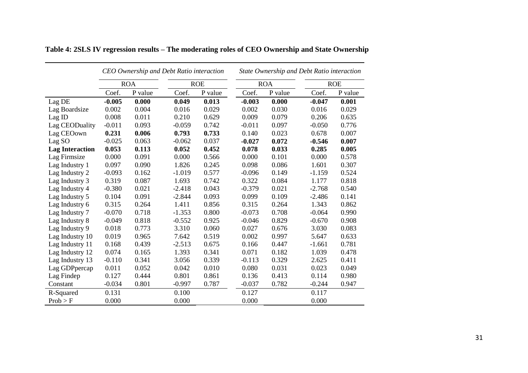|                        |          |            | CEO Ownership and Debt Ratio interaction |            | State Ownership and Debt Ratio interaction |            |          |            |  |  |  |
|------------------------|----------|------------|------------------------------------------|------------|--------------------------------------------|------------|----------|------------|--|--|--|
|                        |          | <b>ROA</b> |                                          | <b>ROE</b> |                                            | <b>ROA</b> |          | <b>ROE</b> |  |  |  |
|                        | Coef.    | P value    | Coef.                                    | P value    | Coef.                                      | P value    | Coef.    | P value    |  |  |  |
| Lag DE                 | $-0.005$ | 0.000      | 0.049                                    | 0.013      | $-0.003$                                   | 0.000      | $-0.047$ | 0.001      |  |  |  |
| Lag Boardsize          | 0.002    | 0.004      | 0.016                                    | 0.029      | 0.002                                      | 0.030      | 0.016    | 0.029      |  |  |  |
| $Lag$ ID               | 0.008    | 0.011      | 0.210                                    | 0.629      | 0.009                                      | 0.079      | 0.206    | 0.635      |  |  |  |
| Lag CEODuality         | $-0.011$ | 0.093      | $-0.059$                                 | 0.742      | $-0.011$                                   | 0.097      | $-0.050$ | 0.776      |  |  |  |
| Lag CEOown             | 0.231    | 0.006      | 0.793                                    | 0.733      | 0.140                                      | 0.023      | 0.678    | 0.007      |  |  |  |
| Lag SO                 | $-0.025$ | 0.063      | $-0.062$                                 | 0.037      | $-0.027$                                   | 0.072      | $-0.546$ | 0.007      |  |  |  |
| <b>Lag Interaction</b> | 0.053    | 0.113      | 0.052                                    | 0.452      | 0.078                                      | 0.033      | 0.285    | 0.005      |  |  |  |
| Lag Firmsize           | 0.000    | 0.091      | 0.000                                    | 0.566      | 0.000                                      | 0.101      | 0.000    | 0.578      |  |  |  |
| Lag Industry 1         | 0.097    | 0.090      | 1.826                                    | 0.245      | 0.098                                      | 0.086      | 1.601    | 0.307      |  |  |  |
| Lag Industry 2         | $-0.093$ | 0.162      | $-1.019$                                 | 0.577      | $-0.096$                                   | 0.149      | $-1.159$ | 0.524      |  |  |  |
| Lag Industry 3         | 0.319    | 0.087      | 1.693                                    | 0.742      | 0.322                                      | 0.084      | 1.177    | 0.818      |  |  |  |
| Lag Industry 4         | $-0.380$ | 0.021      | $-2.418$                                 | 0.043      | $-0.379$                                   | 0.021      | $-2.768$ | 0.540      |  |  |  |
| Lag Industry 5         | 0.104    | 0.091      | $-2.844$                                 | 0.093      | 0.099                                      | 0.109      | $-2.486$ | 0.141      |  |  |  |
| Lag Industry 6         | 0.315    | 0.264      | 1.411                                    | 0.856      | 0.315                                      | 0.264      | 1.343    | 0.862      |  |  |  |
| Lag Industry 7         | $-0.070$ | 0.718      | $-1.353$                                 | 0.800      | $-0.073$                                   | 0.708      | $-0.064$ | 0.990      |  |  |  |
| Lag Industry 8         | $-0.049$ | 0.818      | $-0.552$                                 | 0.925      | $-0.046$                                   | 0.829      | $-0.670$ | 0.908      |  |  |  |
| Lag Industry 9         | 0.018    | 0.773      | 3.310                                    | 0.060      | 0.027                                      | 0.676      | 3.030    | 0.083      |  |  |  |
| Lag Industry 10        | 0.019    | 0.965      | 7.642                                    | 0.519      | 0.002                                      | 0.997      | 5.647    | 0.633      |  |  |  |
| Lag Industry 11        | 0.168    | 0.439      | $-2.513$                                 | 0.675      | 0.166                                      | 0.447      | $-1.661$ | 0.781      |  |  |  |
| Lag Industry 12        | 0.074    | 0.165      | 1.393                                    | 0.341      | 0.071                                      | 0.182      | 1.039    | 0.478      |  |  |  |
| Lag Industry 13        | $-0.110$ | 0.341      | 3.056                                    | 0.339      | $-0.113$                                   | 0.329      | 2.625    | 0.411      |  |  |  |
| Lag GDPpercap          | 0.011    | 0.052      | 0.042                                    | 0.010      | 0.080                                      | 0.031      | 0.023    | 0.049      |  |  |  |
| Lag Findep             | 0.127    | 0.444      | 0.801                                    | 0.861      | 0.136                                      | 0.413      | 0.114    | 0.980      |  |  |  |
| Constant               | $-0.034$ | 0.801      | $-0.997$                                 | 0.787      | $-0.037$                                   | 0.782      | $-0.244$ | 0.947      |  |  |  |
| R-Squared              | 0.131    |            | 0.100                                    |            | 0.127                                      |            | 0.117    |            |  |  |  |
| Prob > F               | 0.000    |            | 0.000                                    |            | 0.000                                      |            | 0.000    |            |  |  |  |

| Table 4: 2SLS IV regression results - The moderating roles of CEO Ownership and State Ownership |  |  |  |
|-------------------------------------------------------------------------------------------------|--|--|--|
|                                                                                                 |  |  |  |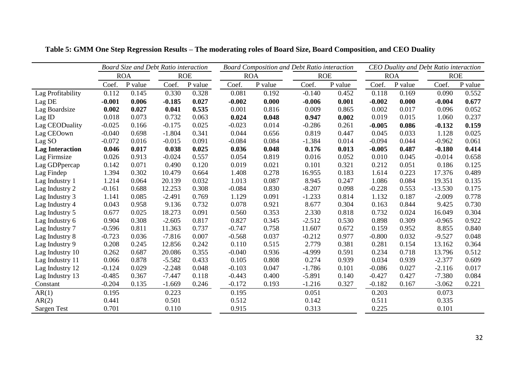|                        |          | Board Size and Debt Ratio interaction |          |            | <b>Board Composition and Debt Ratio interaction</b> | <b>CEO Duality and Debt Ratio interaction</b> |            |         |          |            |            |         |
|------------------------|----------|---------------------------------------|----------|------------|-----------------------------------------------------|-----------------------------------------------|------------|---------|----------|------------|------------|---------|
|                        |          | <b>ROA</b>                            |          | <b>ROE</b> | <b>ROA</b>                                          |                                               | <b>ROE</b> |         |          | <b>ROA</b> | <b>ROE</b> |         |
|                        | Coef.    | P value                               | Coef.    | P value    | Coef.                                               | P value                                       | Coef.      | P value | Coef.    | P value    | Coef.      | P value |
| Lag Profitability      | 0.112    | 0.145                                 | 0.330    | 0.328      | 0.081                                               | 0.192                                         | $-0.140$   | 0.452   | 0.118    | 0.169      | 0.090      | 0.552   |
| Lag DE                 | $-0.001$ | 0.006                                 | $-0.185$ | 0.027      | $-0.002$                                            | 0.000                                         | $-0.006$   | 0.001   | $-0.002$ | 0.000      | $-0.004$   | 0.677   |
| Lag Boardsize          | 0.002    | 0.027                                 | 0.041    | 0.535      | 0.001                                               | 0.816                                         | 0.009      | 0.865   | 0.002    | 0.017      | 0.096      | 0.052   |
| Lag ID                 | 0.018    | 0.073                                 | 0.732    | 0.063      | 0.024                                               | 0.048                                         | 0.947      | 0.002   | 0.019    | 0.015      | 1.060      | 0.237   |
| Lag CEODuality         | $-0.025$ | 0.166                                 | $-0.175$ | 0.025      | $-0.023$                                            | 0.014                                         | $-0.286$   | 0.261   | $-0.005$ | 0.086      | $-0.132$   | 0.159   |
| Lag CEOown             | $-0.040$ | 0.698                                 | $-1.804$ | 0.341      | 0.044                                               | 0.656                                         | 0.819      | 0.447   | 0.045    | 0.033      | 1.128      | 0.025   |
| Lag SO                 | $-0.072$ | 0.016                                 | $-0.015$ | 0.091      | $-0.084$                                            | 0.084                                         | $-1.384$   | 0.014   | $-0.094$ | 0.044      | $-0.962$   | 0.061   |
| <b>Lag Interaction</b> | 0.046    | 0.017                                 | 0.038    | 0.025      | 0.036                                               | 0.048                                         | 0.176      | 0.013   | $-0.005$ | 0.487      | $-0.180$   | 0.414   |
| Lag Firmsize           | 0.026    | 0.913                                 | $-0.024$ | 0.557      | 0.054                                               | 0.819                                         | 0.016      | 0.052   | 0.010    | 0.045      | $-0.014$   | 0.658   |
| Lag GDPpercap          | 0.142    | 0.071                                 | 0.490    | 0.120      | 0.019                                               | 0.021                                         | 0.101      | 0.321   | 0.212    | 0.051      | 0.186      | 0.125   |
| Lag Findep             | 1.394    | 0.302                                 | 10.479   | 0.664      | 1.408                                               | 0.278                                         | 16.955     | 0.183   | 1.614    | 0.223      | 17.376     | 0.489   |
| Lag Industry 1         | 1.214    | 0.064                                 | 20.139   | 0.032      | 1.013                                               | 0.087                                         | 8.945      | 0.247   | 1.086    | 0.084      | 19.351     | 0.135   |
| Lag Industry 2         | $-0.161$ | 0.688                                 | 12.253   | 0.308      | $-0.084$                                            | 0.830                                         | $-8.207$   | 0.098   | $-0.228$ | 0.553      | $-13.530$  | 0.175   |
| Lag Industry 3         | 1.141    | 0.085                                 | $-2.491$ | 0.769      | 1.129                                               | 0.091                                         | $-1.233$   | 0.814   | 1.132    | 0.187      | $-2.009$   | 0.778   |
| Lag Industry 4         | 0.043    | 0.958                                 | 9.136    | 0.732      | 0.078                                               | 0.921                                         | 8.677      | 0.304   | 0.163    | 0.844      | 9.425      | 0.730   |
| Lag Industry 5         | 0.677    | 0.025                                 | 18.273   | 0.091      | 0.560                                               | 0.353                                         | 2.330      | 0.818   | 0.732    | 0.024      | 16.049     | 0.304   |
| Lag Industry 6         | 0.904    | 0.308                                 | $-2.605$ | 0.817      | 0.827                                               | 0.345                                         | $-2.512$   | 0.530   | 0.898    | 0.309      | $-0.965$   | 0.922   |
| Lag Industry 7         | $-0.596$ | 0.811                                 | 11.363   | 0.737      | $-0.747$                                            | 0.758                                         | 11.607     | 0.672   | 0.159    | 0.952      | 8.855      | 0.840   |
| Lag Industry 8         | $-0.723$ | 0.036                                 | $-7.816$ | 0.007      | $-0.568$                                            | 0.037                                         | $-0.212$   | 0.977   | $-0.800$ | 0.032      | $-9.527$   | 0.048   |
| Lag Industry 9         | 0.208    | 0.245                                 | 12.856   | 0.242      | 0.110                                               | 0.515                                         | 2.779      | 0.381   | 0.281    | 0.154      | 13.162     | 0.364   |
| Lag Industry 10        | 0.262    | 0.687                                 | 20.086   | 0.355      | $-0.040$                                            | 0.936                                         | $-4.999$   | 0.591   | 0.234    | 0.718      | 13.796     | 0.512   |
| Lag Industry 11        | 0.066    | 0.878                                 | $-5.582$ | 0.433      | 0.105                                               | 0.808                                         | 0.274      | 0.939   | 0.034    | 0.939      | $-2.377$   | 0.609   |
| Lag Industry 12        | $-0.124$ | 0.029                                 | $-2.248$ | 0.048      | $-0.103$                                            | 0.047                                         | $-1.786$   | 0.101   | $-0.086$ | 0.027      | $-2.116$   | 0.017   |
| Lag Industry 13        | $-0.485$ | 0.367                                 | $-7.447$ | 0.118      | $-0.443$                                            | 0.400                                         | $-5.891$   | 0.140   | $-0.427$ | 0.427      | $-7.380$   | 0.084   |
| Constant               | $-0.204$ | 0.135                                 | $-1.669$ | 0.246      | $-0.172$                                            | 0.193                                         | $-1.216$   | 0.327   | $-0.182$ | 0.167      | $-3.062$   | 0.221   |
| AR(1)                  | 0.195    |                                       | 0.223    |            | 0.195                                               |                                               | 0.051      |         | 0.203    |            | 0.073      |         |
| AR(2)                  | 0.441    |                                       | 0.501    |            | 0.512                                               |                                               | 0.142      |         | 0.511    |            | 0.335      |         |
| Sargen Test            | 0.701    |                                       | 0.110    |            | 0.915                                               |                                               | 0.313      |         | 0.225    |            | 0.101      |         |

**Table 5: GMM One Step Regression Results – The moderating roles of Board Size, Board Composition, and CEO Duality**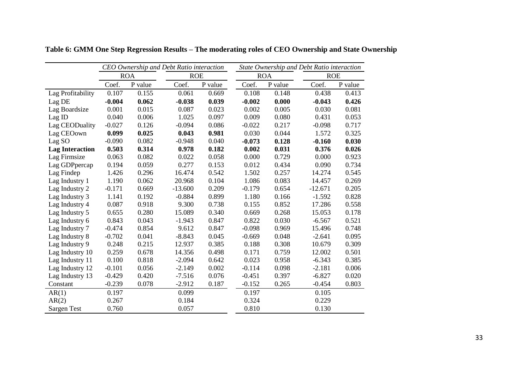|                        |          |            | CEO Ownership and Debt Ratio interaction |         | State Ownership and Debt Ratio interaction |            |            |         |  |  |
|------------------------|----------|------------|------------------------------------------|---------|--------------------------------------------|------------|------------|---------|--|--|
|                        |          | <b>ROA</b> | <b>ROE</b>                               |         |                                            | <b>ROA</b> | <b>ROE</b> |         |  |  |
|                        | Coef.    | P value    | Coef.                                    | P value | Coef.                                      | P value    | Coef.      | P value |  |  |
| Lag Profitability      | 0.107    | 0.155      | 0.061                                    | 0.669   | 0.108                                      | 0.148      | 0.438      | 0.413   |  |  |
| Lag DE                 | $-0.004$ | 0.062      | $-0.038$                                 | 0.039   | $-0.002$                                   | 0.000      | $-0.043$   | 0.426   |  |  |
| Lag Boardsize          | 0.001    | 0.015      | 0.087                                    | 0.023   | 0.002                                      | 0.005      | 0.030      | 0.081   |  |  |
| Lag ID                 | 0.040    | 0.006      | 1.025                                    | 0.097   | 0.009                                      | 0.080      | 0.431      | 0.053   |  |  |
| Lag CEODuality         | $-0.027$ | 0.126      | $-0.094$                                 | 0.086   | $-0.022$                                   | 0.217      | $-0.098$   | 0.717   |  |  |
| Lag CEOown             | 0.099    | 0.025      | 0.043                                    | 0.981   | 0.030                                      | 0.044      | 1.572      | 0.325   |  |  |
| Lag SO                 | $-0.090$ | 0.082      | $-0.948$                                 | 0.040   | $-0.073$                                   | 0.128      | $-0.160$   | 0.030   |  |  |
| <b>Lag Interaction</b> | 0.503    | 0.314      | 0.978                                    | 0.182   | 0.002                                      | 0.031      | 0.376      | 0.026   |  |  |
| Lag Firmsize           | 0.063    | 0.082      | 0.022                                    | 0.058   | 0.000                                      | 0.729      | 0.000      | 0.923   |  |  |
| Lag GDPpercap          | 0.194    | 0.059      | 0.277                                    | 0.153   | 0.012                                      | 0.434      | 0.090      | 0.734   |  |  |
| Lag Findep             | 1.426    | 0.296      | 16.474                                   | 0.542   | 1.502                                      | 0.257      | 14.274     | 0.545   |  |  |
| Lag Industry 1         | 1.190    | 0.062      | 20.968                                   | 0.104   | 1.086                                      | 0.083      | 14.457     | 0.269   |  |  |
| Lag Industry 2         | $-0.171$ | 0.669      | $-13.600$                                | 0.209   | $-0.179$                                   | 0.654      | $-12.671$  | 0.205   |  |  |
| Lag Industry 3         | 1.141    | 0.192      | $-0.884$                                 | 0.899   | 1.180                                      | 0.166      | $-1.592$   | 0.828   |  |  |
| Lag Industry 4         | 0.087    | 0.918      | 9.300                                    | 0.738   | 0.155                                      | 0.852      | 17.286     | 0.558   |  |  |
| Lag Industry 5         | 0.655    | 0.280      | 15.089                                   | 0.340   | 0.669                                      | 0.268      | 15.053     | 0.178   |  |  |
| Lag Industry 6         | 0.843    | 0.043      | $-1.943$                                 | 0.847   | 0.822                                      | 0.030      | $-6.567$   | 0.521   |  |  |
| Lag Industry 7         | $-0.474$ | 0.854      | 9.612                                    | 0.847   | $-0.098$                                   | 0.969      | 15.496     | 0.748   |  |  |
| Lag Industry 8         | $-0.702$ | 0.041      | $-8.843$                                 | 0.045   | $-0.669$                                   | 0.048      | $-2.641$   | 0.095   |  |  |
| Lag Industry 9         | 0.248    | 0.215      | 12.937                                   | 0.385   | 0.188                                      | 0.308      | 10.679     | 0.309   |  |  |
| Lag Industry 10        | 0.259    | 0.678      | 14.356                                   | 0.498   | 0.171                                      | 0.759      | 12.002     | 0.501   |  |  |
| Lag Industry 11        | 0.100    | 0.818      | $-2.094$                                 | 0.642   | 0.023                                      | 0.958      | $-6.343$   | 0.385   |  |  |
| Lag Industry 12        | $-0.101$ | 0.056      | $-2.149$                                 | 0.002   | $-0.114$                                   | 0.098      | $-2.181$   | 0.006   |  |  |
| Lag Industry 13        | $-0.429$ | 0.420      | $-7.516$                                 | 0.076   | $-0.451$                                   | 0.397      | $-6.827$   | 0.020   |  |  |
| Constant               | $-0.239$ | 0.078      | $-2.912$                                 | 0.187   | $-0.152$                                   | 0.265      | $-0.454$   | 0.803   |  |  |
| AR(1)                  | 0.197    |            | 0.099                                    |         | 0.197                                      |            | 0.105      |         |  |  |
| AR(2)                  | 0.267    |            | 0.184                                    |         | 0.324                                      |            | 0.229      |         |  |  |
| Sargen Test            | 0.760    |            | 0.057                                    |         | 0.810                                      |            | 0.130      |         |  |  |

**Table 6: GMM One Step Regression Results – The moderating roles of CEO Ownership and State Ownership**